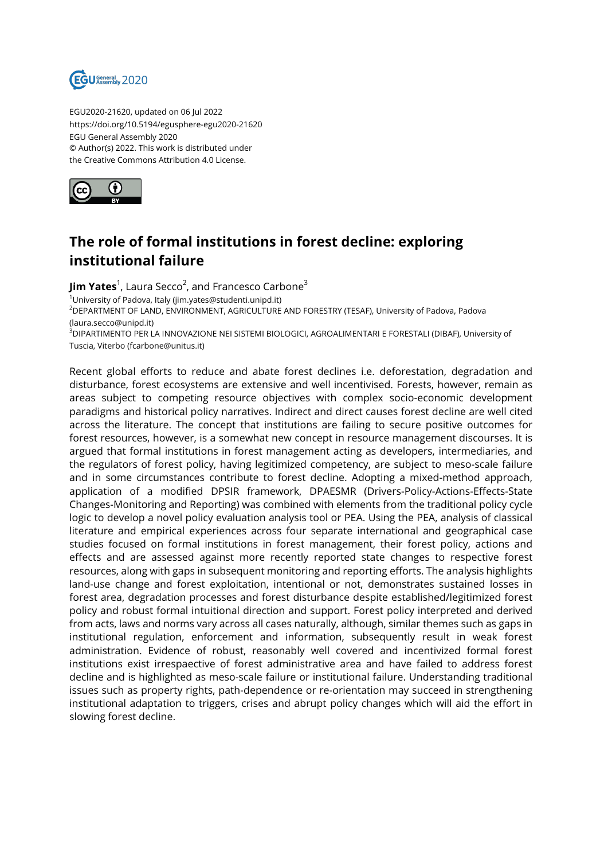

EGU2020-21620, updated on 06 Jul 2022 https://doi.org/10.5194/egusphere-egu2020-21620 EGU General Assembly 2020 © Author(s) 2022. This work is distributed under the Creative Commons Attribution 4.0 License.



## **The role of formal institutions in forest decline: exploring institutional failure**

**Jim Yates**<sup>1</sup>, Laura Secco<sup>2</sup>, and Francesco Carbone<sup>3</sup> <sup>1</sup>University of Padova, Italy (jim.yates@studenti.unipd.it) <sup>2</sup>DEPARTMENT OF LAND, ENVIRONMENT, AGRICULTURE AND FORESTRY (TESAF), University of Padova, Padova (laura.secco@unipd.it) <sup>3</sup>DIPARTIMENTO PER LA INNOVAZIONE NEI SISTEMI BIOLOGICI, AGROALIMENTARI E FORESTALI (DIBAF), University of Tuscia, Viterbo (fcarbone@unitus.it)

Recent global efforts to reduce and abate forest declines i.e. deforestation, degradation and disturbance, forest ecosystems are extensive and well incentivised. Forests, however, remain as areas subject to competing resource objectives with complex socio-economic development paradigms and historical policy narratives. Indirect and direct causes forest decline are well cited across the literature. The concept that institutions are failing to secure positive outcomes for forest resources, however, is a somewhat new concept in resource management discourses. It is argued that formal institutions in forest management acting as developers, intermediaries, and the regulators of forest policy, having legitimized competency, are subject to meso-scale failure and in some circumstances contribute to forest decline. Adopting a mixed-method approach, application of a modified DPSIR framework, DPAESMR (Drivers-Policy-Actions-Effects-State Changes-Monitoring and Reporting) was combined with elements from the traditional policy cycle logic to develop a novel policy evaluation analysis tool or PEA. Using the PEA, analysis of classical literature and empirical experiences across four separate international and geographical case studies focused on formal institutions in forest management, their forest policy, actions and effects and are assessed against more recently reported state changes to respective forest resources, along with gaps in subsequent monitoring and reporting efforts. The analysis highlights land-use change and forest exploitation, intentional or not, demonstrates sustained losses in forest area, degradation processes and forest disturbance despite established/legitimized forest policy and robust formal intuitional direction and support. Forest policy interpreted and derived from acts, laws and norms vary across all cases naturally, although, similar themes such as gaps in institutional regulation, enforcement and information, subsequently result in weak forest administration. Evidence of robust, reasonably well covered and incentivized formal forest institutions exist irrespaective of forest administrative area and have failed to address forest decline and is highlighted as meso-scale failure or institutional failure. Understanding traditional issues such as property rights, path-dependence or re-orientation may succeed in strengthening institutional adaptation to triggers, crises and abrupt policy changes which will aid the effort in slowing forest decline.